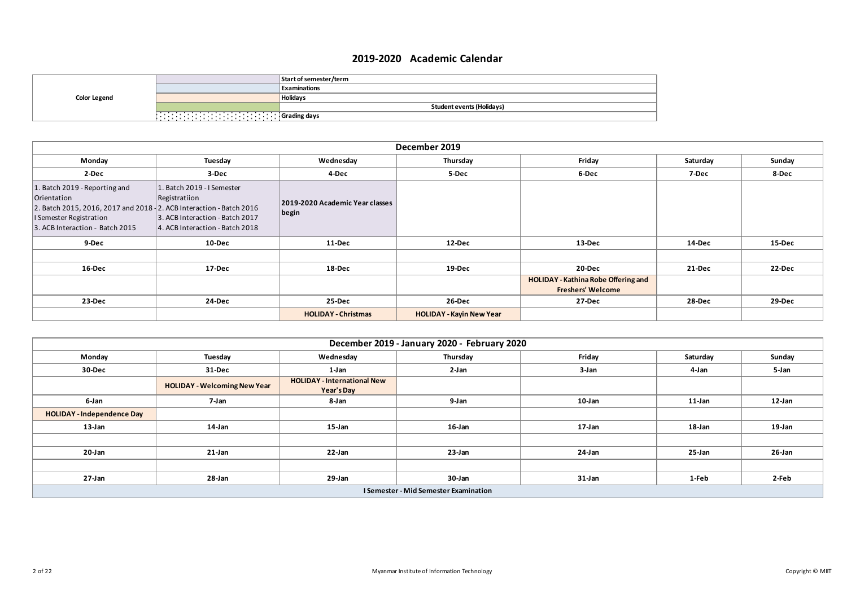|                     | Start of semester/term           |
|---------------------|----------------------------------|
|                     | <b>Examinations</b>              |
| <b>Color Legend</b> | <b>Holidavs</b>                  |
|                     | <b>Student events (Holidays)</b> |
|                     | Grading days                     |

| December 2019                                                                                                                                                                                 |                                                                                                                   |                                          |                                 |                                                                 |          |        |  |
|-----------------------------------------------------------------------------------------------------------------------------------------------------------------------------------------------|-------------------------------------------------------------------------------------------------------------------|------------------------------------------|---------------------------------|-----------------------------------------------------------------|----------|--------|--|
| Monday                                                                                                                                                                                        | Tuesday                                                                                                           | Wednesday                                | Thursday                        | Friday                                                          | Saturday | Sunday |  |
| 2-Dec                                                                                                                                                                                         | 3-Dec                                                                                                             | 4-Dec                                    | 5-Dec                           | 6-Dec                                                           | 7-Dec    | 8-Dec  |  |
| 1. Batch 2019 - Reporting and<br>Orientation<br>2. Batch 2015, 2016, 2017 and 2018 <sup>-</sup> 2. ACB Interaction - Batch 2016<br>I Semester Registration<br>3. ACB Interaction - Batch 2015 | 1. Batch 2019 - I Semester<br>Registratiion<br>3. ACB Interaction - Batch 2017<br>4. ACB Interaction - Batch 2018 | 2019-2020 Academic Year classes<br>begin |                                 |                                                                 |          |        |  |
| 9-Dec                                                                                                                                                                                         | 10-Dec                                                                                                            | 11-Dec                                   | 12-Dec                          | 13-Dec                                                          | 14-Dec   | 15-Dec |  |
|                                                                                                                                                                                               |                                                                                                                   |                                          |                                 |                                                                 |          |        |  |
| 16-Dec                                                                                                                                                                                        | 17-Dec                                                                                                            | 18-Dec                                   | 19-Dec                          | 20-Dec                                                          | 21-Dec   | 22-Dec |  |
|                                                                                                                                                                                               |                                                                                                                   |                                          |                                 | HOLIDAY - Kathina Robe Offering and<br><b>Freshers' Welcome</b> |          |        |  |
| 23-Dec                                                                                                                                                                                        | 24-Dec                                                                                                            | 25-Dec                                   | 26-Dec                          | 27-Dec                                                          | 28-Dec   | 29-Dec |  |
|                                                                                                                                                                                               |                                                                                                                   | <b>HOLIDAY - Christmas</b>               | <b>HOLIDAY - Kayin New Year</b> |                                                                 |          |        |  |

| December 2019 - January 2020 - February 2020 |                                     |                                                  |          |        |           |        |  |
|----------------------------------------------|-------------------------------------|--------------------------------------------------|----------|--------|-----------|--------|--|
| Monday                                       | Tuesday                             | Wednesday                                        | Thursday | Friday | Saturday  | Sunday |  |
| 30-Dec                                       | 31-Dec                              | 1-Jan                                            | 2-Jan    | 3-Jan  | 4-Jan     | 5-Jan  |  |
|                                              | <b>HOLIDAY - Welcoming New Year</b> | <b>HOLIDAY - International New</b><br>Year's Day |          |        |           |        |  |
| 6-Jan                                        | 7-Jan                               | 8-Jan                                            | 9-Jan    | 10-Jan | $11$ -Jan | 12-Jan |  |
| <b>HOLIDAY - Independence Day</b>            |                                     |                                                  |          |        |           |        |  |
| 13-Jan                                       | 14-Jan                              | 15-Jan                                           | 16-Jan   | 17-Jan | 18-Jan    | 19-Jan |  |
|                                              |                                     |                                                  |          |        |           |        |  |
| 20-Jan                                       | 21-Jan                              | 22-Jan                                           | 23-Jan   | 24-Jan | 25-Jan    | 26-Jan |  |
|                                              |                                     |                                                  |          |        |           |        |  |
| 27-Jan                                       | 28-Jan                              | 29-Jan                                           | 30-Jan   | 31-Jan | 1-Feb     | 2-Feb  |  |
| <b>I Semester - Mid Semester Examination</b> |                                     |                                                  |          |        |           |        |  |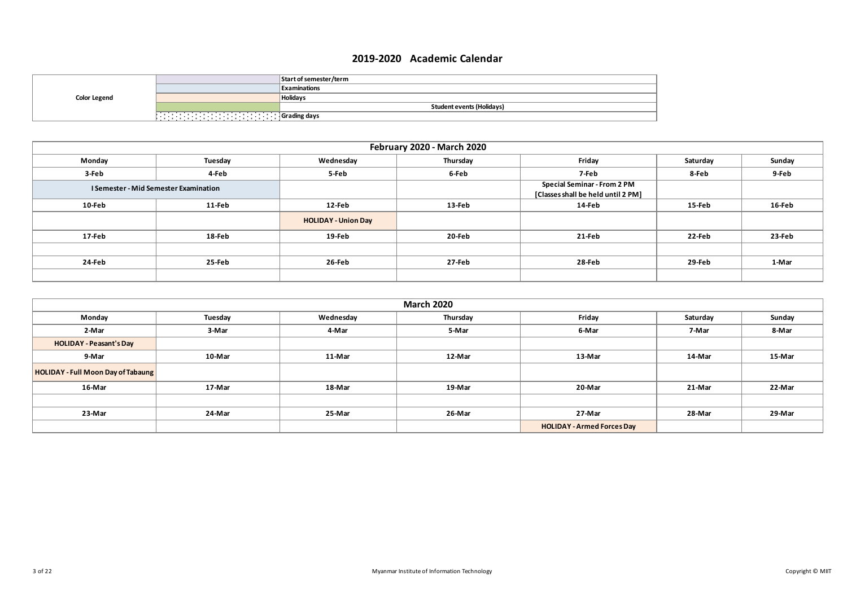|                     |                                                          | Start of semester/term           |
|---------------------|----------------------------------------------------------|----------------------------------|
|                     |                                                          | <b>Examinations</b>              |
| <b>Color Legend</b> |                                                          | <b>Holidavs</b>                  |
|                     |                                                          | <b>Student events (Holidays)</b> |
|                     | .<br>and the state of the state of the state of the<br>. | Grading days                     |

| February 2020 - March 2020                   |         |                            |          |                                                                   |          |        |  |
|----------------------------------------------|---------|----------------------------|----------|-------------------------------------------------------------------|----------|--------|--|
| Monday                                       | Tuesday | Wednesday                  | Thursday | Friday                                                            | Saturday | Sunday |  |
| 3-Feb                                        | 4-Feb   | 5-Feb                      | 6-Feb    | 7-Feb                                                             | 8-Feb    | 9-Feb  |  |
| <b>I Semester - Mid Semester Examination</b> |         |                            |          | Special Seminar - From 2 PM<br>[Classes shall be held until 2 PM] |          |        |  |
| 10-Feb                                       | 11-Feb  | 12-Feb                     | 13-Feb   | 14-Feb                                                            | 15-Feb   | 16-Feb |  |
|                                              |         | <b>HOLIDAY - Union Day</b> |          |                                                                   |          |        |  |
| 17-Feb                                       | 18-Feb  | 19-Feb                     | 20-Feb   | 21-Feb                                                            | 22-Feb   | 23-Feb |  |
|                                              |         |                            |          |                                                                   |          |        |  |
| 24-Feb                                       | 25-Feb  | 26-Feb                     | 27-Feb   | 28-Feb                                                            | 29-Feb   | 1-Mar  |  |
|                                              |         |                            |          |                                                                   |          |        |  |

| <b>March 2020</b>                  |         |           |          |                                   |          |        |  |
|------------------------------------|---------|-----------|----------|-----------------------------------|----------|--------|--|
| Monday                             | Tuesday | Wednesday | Thursday | Friday                            | Saturday | Sunday |  |
| 2-Mar                              | 3-Mar   | 4-Mar     | 5-Mar    | 6-Mar                             | 7-Mar    | 8-Mar  |  |
| HOLIDAY - Peasant's Day            |         |           |          |                                   |          |        |  |
| 9-Mar                              | 10-Mar  | 11-Mar    | 12-Mar   | 13-Mar                            | 14-Mar   | 15-Mar |  |
| HOLIDAY - Full Moon Day of Tabaung |         |           |          |                                   |          |        |  |
| 16-Mar                             | 17-Mar  | 18-Mar    | 19-Mar   | 20-Mar                            | 21-Mar   | 22-Mar |  |
|                                    |         |           |          |                                   |          |        |  |
| 23-Mar                             | 24-Mar  | 25-Mar    | 26-Mar   | 27-Mar                            | 28-Mar   | 29-Mar |  |
|                                    |         |           |          | <b>HOLIDAY - Armed Forces Day</b> |          |        |  |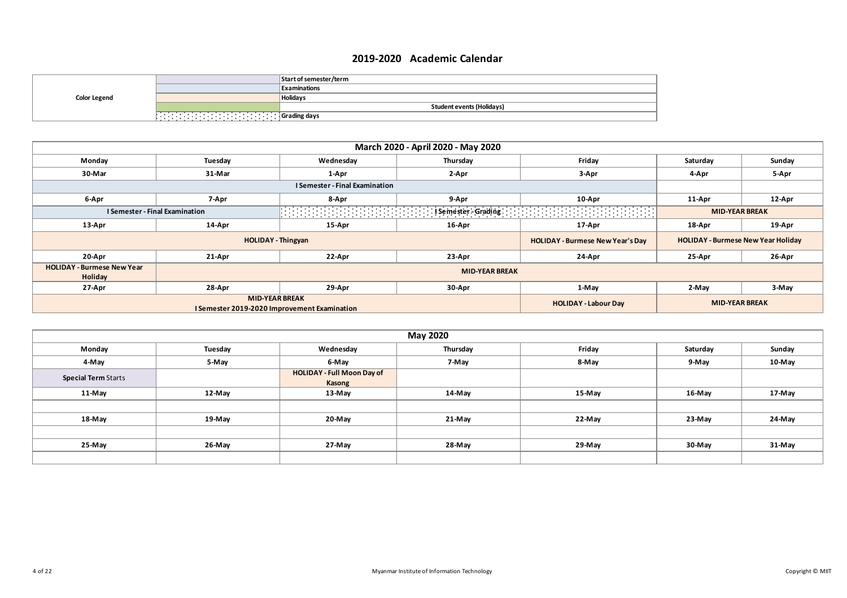|                     |                                                      | Start of semester/term           |
|---------------------|------------------------------------------------------|----------------------------------|
|                     |                                                      | Examinations                     |
| <b>Color Legend</b> |                                                      | <b>Holidavs</b>                  |
|                     |                                                      | <b>Student events (Holidays)</b> |
|                     | the contract of the contract of the contract of<br>. | Grading days                     |

|                                                                                                                                                                                                                                                                               |                           |                                       | March 2020 - April 2020 - May 2020 |                                         |                                           |        |
|-------------------------------------------------------------------------------------------------------------------------------------------------------------------------------------------------------------------------------------------------------------------------------|---------------------------|---------------------------------------|------------------------------------|-----------------------------------------|-------------------------------------------|--------|
| Monday                                                                                                                                                                                                                                                                        | Tuesday                   | Wednesday                             | Thursday                           | Friday                                  | Saturday                                  | Sunday |
| 30-Mar                                                                                                                                                                                                                                                                        | 31-Mar                    | 1-Apr                                 | 2-Apr                              | 3-Apr                                   | 4-Apr                                     | 5-Apr  |
|                                                                                                                                                                                                                                                                               |                           | <b>I Semester - Final Examination</b> |                                    |                                         |                                           |        |
| 6-Apr                                                                                                                                                                                                                                                                         | 7-Apr                     | 8-Apr                                 | 9-Apr                              | 10-Apr                                  | 11-Apr                                    | 12-Apr |
| <b>TELEVISION IN THE CONTROL OF SUPPOSE OF A GRAPHIC INTERFERING IN THE CONTROL OF A SUPPORT OF A SUPPORT OF A SUPPORT OF A SUPPORT OF A SUPPORT OF A SUPPORT OF A SUPPORT OF A SUPPORT OF A SUPPORT OF A SUPPORT OF A SUPPORT O</b><br><b>I Semester - Final Examination</b> |                           |                                       |                                    |                                         | <b>MID-YEAR BREAK</b>                     |        |
| 13-Apr                                                                                                                                                                                                                                                                        | 14-Apr                    | 15-Apr                                | 16-Apr                             | 17-Apr                                  | 18-Apr                                    | 19-Apr |
|                                                                                                                                                                                                                                                                               | <b>HOLIDAY</b> - Thingyan |                                       |                                    | <b>HOLIDAY - Burmese New Year's Day</b> | <b>HOLIDAY - Burmese New Year Holiday</b> |        |
| 20-Apr                                                                                                                                                                                                                                                                        | 21-Apr                    | 22-Apr                                | 23-Apr                             | 24-Apr                                  | 25-Apr                                    | 26-Apr |
| <b>HOLIDAY - Burmese New Year</b><br>Holiday                                                                                                                                                                                                                                  | <b>MID-YEAR BREAK</b>     |                                       |                                    |                                         |                                           |        |
| 27-Apr                                                                                                                                                                                                                                                                        | 28-Apr                    | 29-Apr                                | 30-Apr                             | 1-May                                   | 2-May                                     | 3-May  |
| <b>MID-YEAR BREAK</b><br><b>HOLIDAY - Labour Day</b><br>I Semester 2019-2020 Improvement Examination                                                                                                                                                                          |                           |                                       |                                    | <b>MID-YEAR BREAK</b>                   |                                           |        |

| May 2020                   |         |                                             |          |        |          |        |  |
|----------------------------|---------|---------------------------------------------|----------|--------|----------|--------|--|
| Monday                     | Tuesday | Wednesday                                   | Thursday | Friday | Saturday | Sunday |  |
| 4-May                      | 5-May   | 6-May                                       | 7-May    | 8-May  | 9-May    | 10-May |  |
| <b>Special Term Starts</b> |         | <b>HOLIDAY - Full Moon Day of</b><br>Kasong |          |        |          |        |  |
| 11-May                     | 12-May  | 13-May                                      | 14-May   | 15-May | 16-May   | 17-May |  |
|                            |         |                                             |          |        |          |        |  |
| 18-May                     | 19-May  | 20-May                                      | 21-May   | 22-May | 23-May   | 24-May |  |
|                            |         |                                             |          |        |          |        |  |
| 25-May                     | 26-May  | 27-May                                      | 28-May   | 29-May | 30-May   | 31-May |  |
|                            |         |                                             |          |        |          |        |  |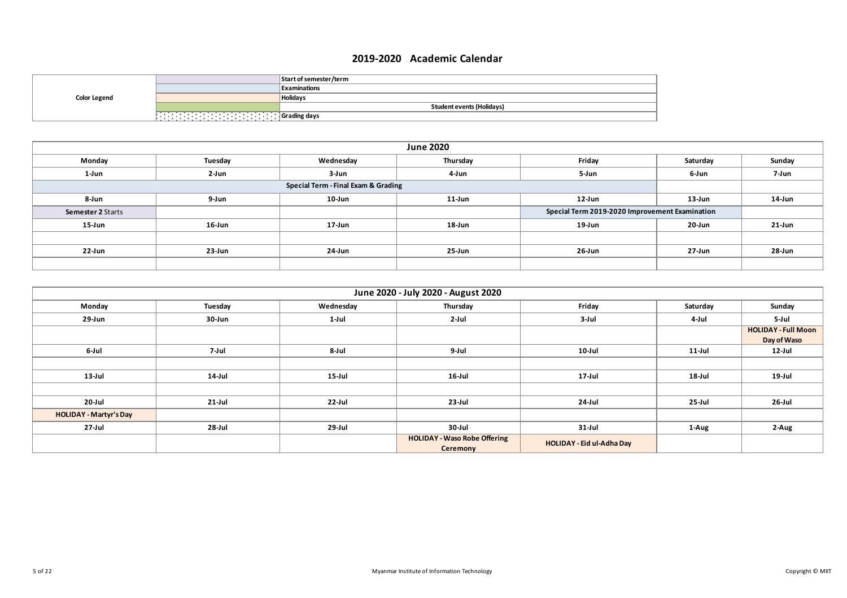|                     |   | Start of semester/term           |
|---------------------|---|----------------------------------|
|                     |   | Examinations                     |
| <b>Color Legend</b> |   | <b>Holidavs</b>                  |
|                     |   | <b>Student events (Holidays)</b> |
|                     | . | Grading days                     |

| <b>June 2020</b>         |                                     |           |          |                                                |          |            |  |  |
|--------------------------|-------------------------------------|-----------|----------|------------------------------------------------|----------|------------|--|--|
| Monday                   | Tuesday                             | Wednesday | Thursday | Friday                                         | Saturday | Sunday     |  |  |
| 1-Jun                    | 2-Jun                               | 3-Jun     | 4-Jun    | 5-Jun                                          | 6-Jun    | 7-Jun      |  |  |
|                          | Special Term - Final Exam & Grading |           |          |                                                |          |            |  |  |
| 8-Jun                    | 9-Jun                               | $10$ -Jun | 11-Jun   | 12-Jun                                         | 13-Jun   | 14-Jun     |  |  |
| <b>Semester 2 Starts</b> |                                     |           |          | Special Term 2019-2020 Improvement Examination |          |            |  |  |
| 15-Jun                   | 16-Jun                              | 17-Jun    | 18-Jun   | 19-Jun                                         | 20-Jun   | $21$ -Jun  |  |  |
|                          |                                     |           |          |                                                |          |            |  |  |
| 22-Jun                   | 23-Jun                              | 24-Jun    | 25-Jun   | 26-Jun                                         | 27-Jun   | $28 - Jun$ |  |  |
|                          |                                     |           |          |                                                |          |            |  |  |

|                               |           |           | June 2020 - July 2020 - August 2020 |                           |           |                            |
|-------------------------------|-----------|-----------|-------------------------------------|---------------------------|-----------|----------------------------|
| Monday                        | Tuesday   | Wednesday | Thursday                            | Friday                    | Saturday  | Sunday                     |
| 29-Jun                        | 30-Jun    | 1-Jul     | 2-Jul                               | 3-Jul                     | 4-Jul     | 5-Jul                      |
|                               |           |           |                                     |                           |           | <b>HOLIDAY - Full Moon</b> |
|                               |           |           |                                     |                           |           | Day of Waso                |
| 6-Jul                         | 7-Jul     | 8-Jul     | 9-Jul                               | $10$ -Jul                 | $11$ -Jul | 12-Jul                     |
|                               |           |           |                                     |                           |           |                            |
| $13$ -Jul                     | 14-Jul    | $15$ -Jul | $16$ -Jul                           | $17$ -Jul                 | 18-Jul    | 19-Jul                     |
|                               |           |           |                                     |                           |           |                            |
| 20-Jul                        | $21$ -Jul | $22$ -Jul | $23$ -Jul                           | 24-Jul                    | 25-Jul    | $26$ -Jul                  |
| <b>HOLIDAY - Martyr's Day</b> |           |           |                                     |                           |           |                            |
| 27-Jul                        | 28-Jul    | $29$ -Jul | $30$ -Jul                           | $31$ -Jul                 | 1-Aug     | 2-Aug                      |
|                               |           |           | <b>HOLIDAY - Waso Robe Offering</b> |                           |           |                            |
|                               |           |           | Ceremony                            | HOLIDAY - Eid ul-Adha Day |           |                            |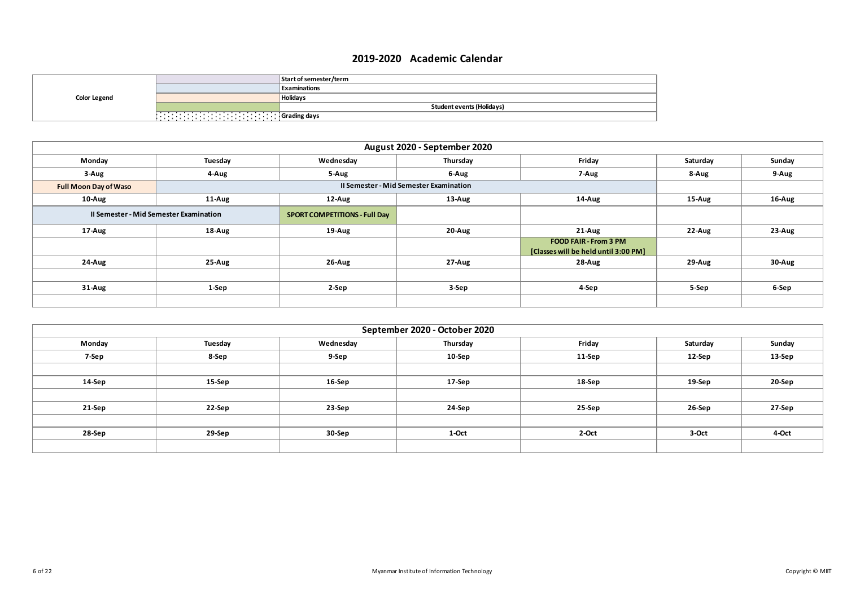|                     |                                                          | Start of semester/term    |
|---------------------|----------------------------------------------------------|---------------------------|
|                     |                                                          | Examinations              |
| <b>Color Legend</b> |                                                          | <b>Holidavs</b>           |
|                     |                                                          | Student events (Holidays) |
|                     | .<br>the contract of the contract of the contract of the | Grading days              |

| August 2020 - September 2020           |         |                                      |                                               |                                                                      |          |        |  |
|----------------------------------------|---------|--------------------------------------|-----------------------------------------------|----------------------------------------------------------------------|----------|--------|--|
| Monday                                 | Tuesday | Wednesday                            | Thursday                                      | Friday                                                               | Saturday | Sunday |  |
| 3-Aug                                  | 4-Aug   | 5-Aug                                | 6-Aug                                         | 7-Aug                                                                | 8-Aug    | 9-Aug  |  |
| <b>Full Moon Day of Waso</b>           |         |                                      | <b>Il Semester - Mid Semester Examination</b> |                                                                      |          |        |  |
| 10-Aug                                 | 11-Aug  | 12-Aug                               | 13-Aug                                        | 14-Aug                                                               | 15-Aug   | 16-Aug |  |
| Il Semester - Mid Semester Examination |         | <b>SPORT COMPETITIONS - Full Day</b> |                                               |                                                                      |          |        |  |
| 17-Aug                                 | 18-Aug  | 19-Aug                               | 20-Aug                                        | $21-Aug$                                                             | 22-Aug   | 23-Aug |  |
|                                        |         |                                      |                                               | <b>FOOD FAIR - From 3 PM</b><br>[Classes will be held until 3:00 PM] |          |        |  |
| 24-Aug                                 | 25-Aug  | 26-Aug                               | 27-Aug                                        | 28-Aug                                                               | 29-Aug   | 30-Aug |  |
|                                        |         |                                      |                                               |                                                                      |          |        |  |
| 31-Aug                                 | 1-Sep   | 2-Sep                                | 3-Sep                                         | 4-Sep                                                                | 5-Sep    | 6-Sep  |  |
|                                        |         |                                      |                                               |                                                                      |          |        |  |

| September 2020 - October 2020 |         |           |          |         |           |        |
|-------------------------------|---------|-----------|----------|---------|-----------|--------|
| Monday                        | Tuesday | Wednesday | Thursday | Friday  | Saturday  | Sunday |
| 7-Sep                         | 8-Sep   | 9-Sep     | 10-Sep   | 11-Sep  | 12-Sep    | 13-Sep |
|                               |         |           |          |         |           |        |
| 14-Sep                        | 15-Sep  | 16-Sep    | 17-Sep   | 18-Sep  | $19-$ Sep | 20-Sep |
|                               |         |           |          |         |           |        |
| 21-Sep                        | 22-Sep  | 23-Sep    | 24-Sep   | 25-Sep  | 26-Sep    | 27-Sep |
|                               |         |           |          |         |           |        |
| 28-Sep                        | 29-Sep  | 30-Sep    | 1-Oct    | $2-Oct$ | 3-Oct     | 4-Oct  |
|                               |         |           |          |         |           |        |